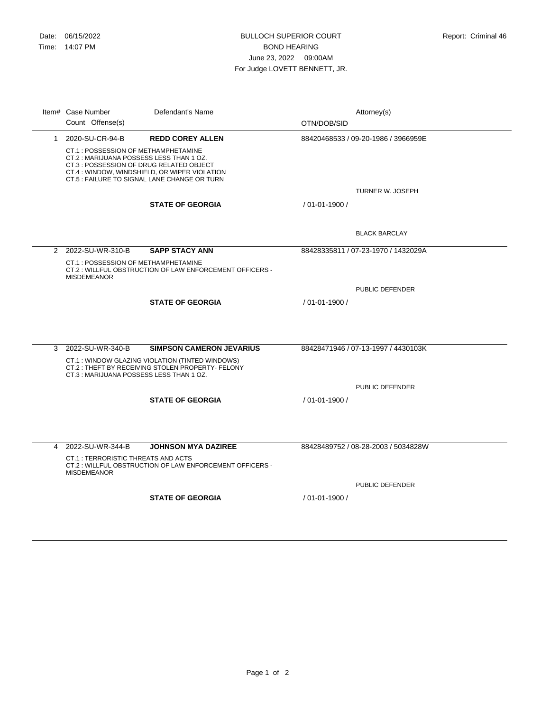|   | Item# Case Number                                                                                                                                                                                                           | Defendant's Name                                        |                                     | Attorney(s)                         |
|---|-----------------------------------------------------------------------------------------------------------------------------------------------------------------------------------------------------------------------------|---------------------------------------------------------|-------------------------------------|-------------------------------------|
|   | Count Offense(s)                                                                                                                                                                                                            |                                                         | OTN/DOB/SID                         |                                     |
|   | 1 2020-SU-CR-94-B                                                                                                                                                                                                           | <b>REDD COREY ALLEN</b>                                 |                                     | 88420468533 / 09-20-1986 / 3966959E |
|   | CT.1: POSSESSION OF METHAMPHETAMINE<br>CT.2: MARIJUANA POSSESS LESS THAN 1 OZ.<br>CT.3 : POSSESSION OF DRUG RELATED OBJECT<br>CT.4 : WINDOW, WINDSHIELD, OR WIPER VIOLATION<br>CT.5 : FAILURE TO SIGNAL LANE CHANGE OR TURN |                                                         |                                     |                                     |
|   |                                                                                                                                                                                                                             |                                                         |                                     | <b>TURNER W. JOSEPH</b>             |
|   |                                                                                                                                                                                                                             | <b>STATE OF GEORGIA</b>                                 | / 01-01-1900 /                      |                                     |
|   |                                                                                                                                                                                                                             |                                                         |                                     | <b>BLACK BARCLAY</b>                |
|   | 2 2022-SU-WR-310-B                                                                                                                                                                                                          | <b>SAPP STACY ANN</b>                                   | 88428335811 / 07-23-1970 / 1432029A |                                     |
|   | CT.1 : POSSESSION OF METHAMPHETAMINE<br><b>MISDEMEANOR</b>                                                                                                                                                                  | CT.2: WILLFUL OBSTRUCTION OF LAW ENFORCEMENT OFFICERS - |                                     |                                     |
|   |                                                                                                                                                                                                                             |                                                         |                                     | PUBLIC DEFENDER                     |
|   |                                                                                                                                                                                                                             | <b>STATE OF GEORGIA</b>                                 | / 01-01-1900 /                      |                                     |
|   |                                                                                                                                                                                                                             |                                                         |                                     |                                     |
| 3 | 2022-SU-WR-340-B                                                                                                                                                                                                            | <b>SIMPSON CAMERON JEVARIUS</b>                         |                                     | 88428471946 / 07-13-1997 / 4430103K |
|   | CT.1: WINDOW GLAZING VIOLATION (TINTED WINDOWS)<br>CT.2: THEFT BY RECEIVING STOLEN PROPERTY- FELONY<br>CT.3: MARIJUANA POSSESS LESS THAN 1 OZ.                                                                              |                                                         |                                     |                                     |
|   |                                                                                                                                                                                                                             |                                                         |                                     | PUBLIC DEFENDER                     |
|   |                                                                                                                                                                                                                             | <b>STATE OF GEORGIA</b>                                 | / 01-01-1900 /                      |                                     |
|   |                                                                                                                                                                                                                             |                                                         |                                     |                                     |
|   |                                                                                                                                                                                                                             |                                                         |                                     |                                     |
|   |                                                                                                                                                                                                                             |                                                         |                                     |                                     |
| 4 | 2022-SU-WR-344-B                                                                                                                                                                                                            | <b>JOHNSON MYA DAZIREE</b>                              |                                     | 88428489752 / 08-28-2003 / 5034828W |
|   | <b>CT.1: TERRORISTIC THREATS AND ACTS</b><br><b>MISDEMEANOR</b>                                                                                                                                                             | CT.2: WILLFUL OBSTRUCTION OF LAW ENFORCEMENT OFFICERS - |                                     |                                     |
|   |                                                                                                                                                                                                                             |                                                         |                                     | PUBLIC DEFENDER                     |
|   |                                                                                                                                                                                                                             | <b>STATE OF GEORGIA</b>                                 | / 01-01-1900 /                      |                                     |